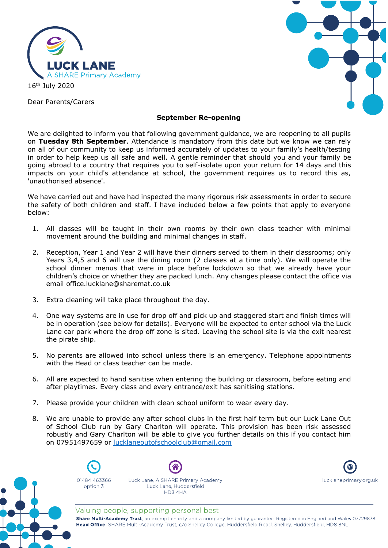

Dear Parents/Carers



# **September Re-opening**

We are delighted to inform you that following government guidance, we are reopening to all pupils on **Tuesday 8th September**. Attendance is mandatory from this date but we know we can rely on all of our community to keep us informed accurately of updates to your family's health/testing in order to help keep us all safe and well. A gentle reminder that should you and your family be going abroad to a country that requires you to self-isolate upon your return for 14 days and this impacts on your child's attendance at school, the government requires us to record this as, 'unauthorised absence'.

We have carried out and have had inspected the many rigorous risk assessments in order to secure the safety of both children and staff. I have included below a few points that apply to everyone below:

- 1. All classes will be taught in their own rooms by their own class teacher with minimal movement around the building and minimal changes in staff.
- 2. Reception, Year 1 and Year 2 will have their dinners served to them in their classrooms; only Years 3,4,5 and 6 will use the dining room (2 classes at a time only). We will operate the school dinner menus that were in place before lockdown so that we already have your children's choice or whether they are packed lunch. Any changes please contact the office via email office.lucklane@sharemat.co.uk
- 3. Extra cleaning will take place throughout the day.
- 4. One way systems are in use for drop off and pick up and staggered start and finish times will be in operation (see below for details). Everyone will be expected to enter school via the Luck Lane car park where the drop off zone is sited. Leaving the school site is via the exit nearest the pirate ship.
- 5. No parents are allowed into school unless there is an emergency. Telephone appointments with the Head or class teacher can be made.
- 6. All are expected to hand sanitise when entering the building or classroom, before eating and after playtimes. Every class and every entrance/exit has sanitising stations.
- 7. Please provide your children with clean school uniform to wear every day.
- 8. We are unable to provide any after school clubs in the first half term but our Luck Lane Out of School Club run by Gary Charlton will operate. This provision has been risk assessed robustly and Gary Charlton will be able to give you further details on this if you contact him on 07951497659 or [lucklaneoutofschoolclub@gmail.com](mailto:lucklaneoutofschoolclub@gmail.com)



01484 463366 option 3





lucklaneprimary.org.uk

Valuing people, supporting personal best

Share Multi-Academy Trust, an exempt charity and a company limited by guarantee. Registered in England and Wales 07729878. Head Office SHARE Multi-Academy Trust, c/o Shelley College, Huddersfield Road, Shelley, Huddersfield, HD8 8NL